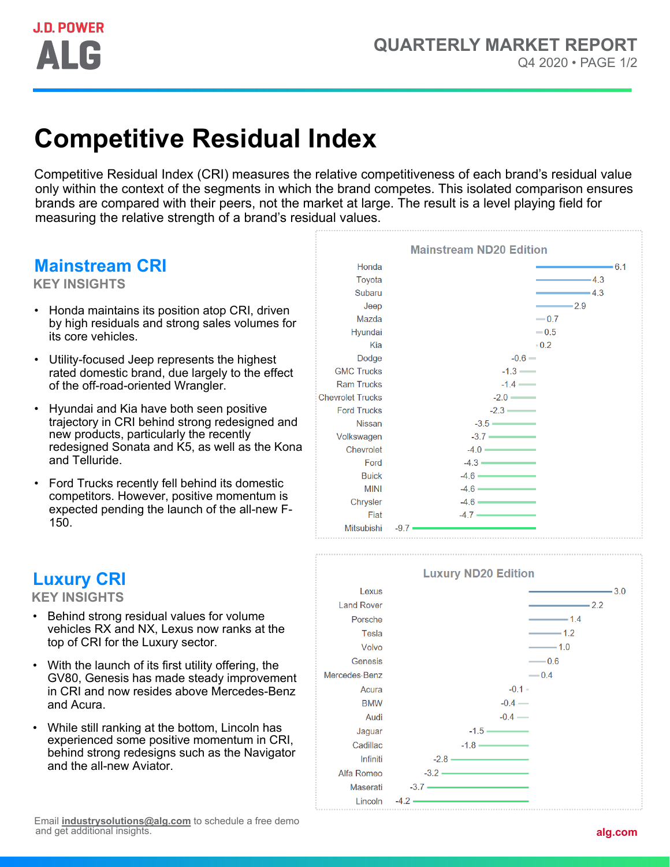# **Competitive Residual Index**

Competitive Residual Index (CRI) measures the relative competitiveness of each brand's residual value only within the context of the segments in which the brand competes. This isolated comparison ensures brands are compared with their peers, not the market at large. The result is a level playing field for measuring the relative strength of a brand's residual values.

### **Mainstream CRI**

**KEY INSIGHTS**

- Honda maintains its position atop CRI, driven by high residuals and strong sales volumes for its core vehicles.
- Utility-focused Jeep represents the highest rated domestic brand, due largely to the effect of the off-road-oriented Wrangler.
- Hyundai and Kia have both seen positive trajectory in CRI behind strong redesigned and new products, particularly the recently redesigned Sonata and K5, as well as the Kona and Telluride.
- Ford Trucks recently fell behind its domestic competitors. However, positive momentum is expected pending the launch of the all-new F-150.





### **Luxury CRI**

**KEY INSIGHTS**

- Behind strong residual values for volume vehicles RX and NX, Lexus now ranks at the top of CRI for the Luxury sector.
- With the launch of its first utility offering, the GV80, Genesis has made steady improvement in CRI and now resides above Mercedes-Benz and Acura.
- While still ranking at the bottom, Lincoln has experienced some positive momentum in CRI, behind strong redesigns such as the Navigator and the all-new Aviator.